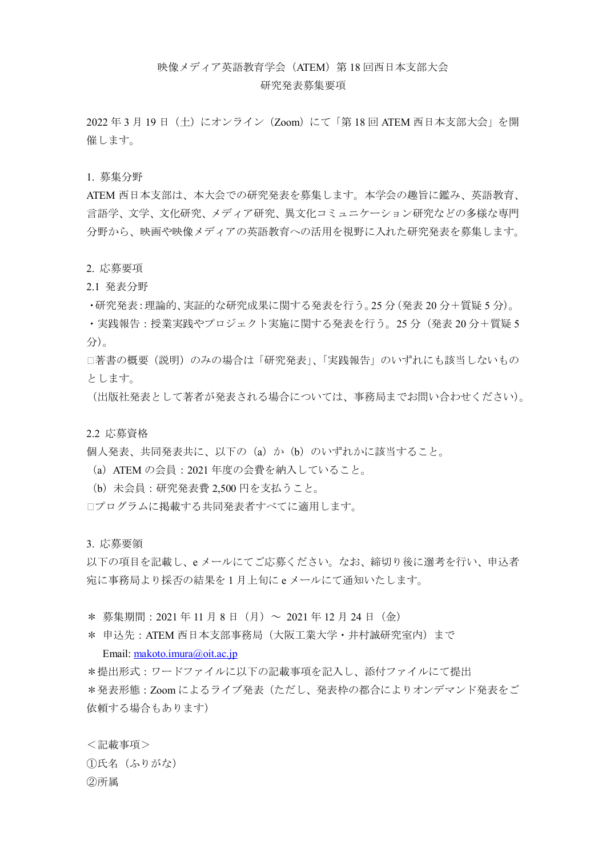# 映像メディア英語教育学会 (ATEM) 第 18 回西日本支部大会

### 研究発表募集要項

2022 年 3 月 19 日(土)にオンライン(Zoom)にて「第 18 回 ATEM 西日本支部大会」を開 催します。

1. 募集分野

ATEM 西日本支部は、本大会での研究発表を募集します。本学会の趣旨に鑑み、英語教育、 言語学、文学、文化研究、メディア研究、異文化コミュニケーション研究などの多様な専門 分野から、映画や映像メディアの英語教育への活用を視野に入れた研究発表を募集します。

#### 2. 応募要項

2.1 発表分野

・研究発表:理論的、実証的な研究成果に関する発表を行う。25 分(発表 20 分+質疑 5 分)。

・実践報告:授業実践やプロジェクト実施に関する発表を行う。25 分(発表 20 分+質疑 5 分)。

□著書の概要(説明)のみの場合は「研究発表」、「実践報告」のいずれにも該当しないもの とします。

(出版社発表として著者が発表される場合については、事務局までお問い合わせください)。

#### 2.2 応募資格

個人発表、共同発表共に、以下の(a)か(b)のいずれかに該当すること。

- (a)ATEM の会員:2021 年度の会費を納入していること。
- (b)未会員:研究発表費 2,500 円を支払うこと。

※プログラムに掲載する共同発表者すべてに適用します。

3. 応募要領

以下の項目を記載し、e メールにてご応募ください。なお、締切り後に選考を行い、申込者 宛に事務局より採否の結果を 1 月上旬に e メールにて通知いたします。

\* 募集期間: 2021年11月8日(月)~ 2021年12月24日(金)

\* 申込先:ATEM 西日本支部事務局(大阪工業大学・井村誠研究室内)まで

## Email: [makoto.imura@oit.ac.jp](mailto:makoto.imura@oit.ac.jp)

\*提出形式:ワードファイルに以下の記載事項を記入し、添付ファイルにて提出 \*発表形態:Zoom によるライブ発表(ただし、発表枠の都合によりオンデマンド発表をご 依頼する場合もあります)

<記載事項> ①氏名(ふりがな) ②所属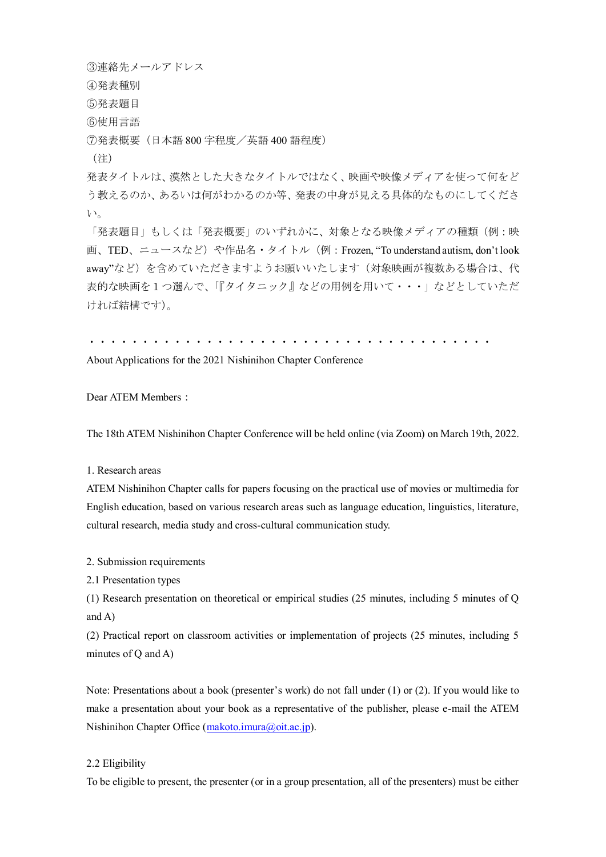③連絡先メールアドレス ④発表種別 ⑤発表題目 ⑥使用言語

⑦発表概要(日本語 800 字程度/英語 400 語程度)

(注)

発表タイトルは、漠然とした大きなタイトルではなく、映画や映像メディアを使って何をど う教えるのか、あるいは何がわかるのか等、発表の中身が見える具体的なものにしてくださ い。

「発表題目」もしくは「発表概要」のいずれかに、対象となる映像メディアの種類(例:映 画、TED、ニュースなど)や作品名·タイトル(例: Frozen, "To understand autism, don't look away"など)を含めていただきますようお願いいたします(対象映画が複数ある場合は、代 表的な映画を1つ選んで、「『タイタニック』などの用例を用いて・・・」などとしていただ ければ結構です)。

・・・・・・・・・・・・・・・・・・・・・・・・・・・・・・・・・・・・・・

About Applications for the 2021 Nishinihon Chapter Conference

Dear ATEM Members:

The 18th ATEM Nishinihon Chapter Conference will be held online (via Zoom) on March 19th, 2022.

1. Research areas

ATEM Nishinihon Chapter calls for papers focusing on the practical use of movies or multimedia for English education, based on various research areas such as language education, linguistics, literature, cultural research, media study and cross-cultural communication study.

2. Submission requirements

2.1 Presentation types

(1) Research presentation on theoretical or empirical studies (25 minutes, including 5 minutes of Q and A)

(2) Practical report on classroom activities or implementation of projects (25 minutes, including 5 minutes of Q and A)

Note: Presentations about a book (presenter's work) do not fall under (1) or (2). If you would like to make a presentation about your book as a representative of the publisher, please e-mail the ATEM Nishinihon Chapter Office [\(makoto.imura@oit.ac.jp\)](mailto:makoto.imura@oit.ac.jp).

# 2.2 Eligibility

To be eligible to present, the presenter (or in a group presentation, all of the presenters) must be either